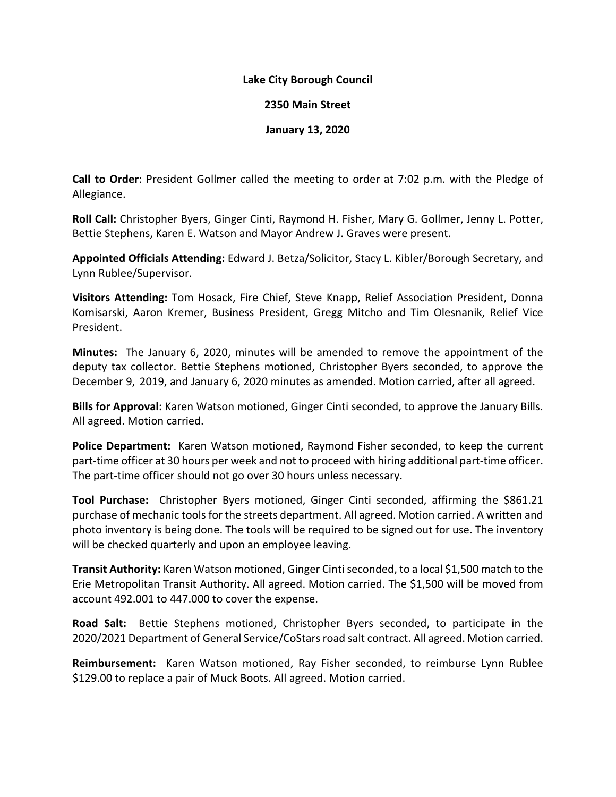### **Lake City Borough Council**

#### **2350 Main Street**

### **January 13, 2020**

**Call to Order**: President Gollmer called the meeting to order at 7:02 p.m. with the Pledge of Allegiance.

**Roll Call:** Christopher Byers, Ginger Cinti, Raymond H. Fisher, Mary G. Gollmer, Jenny L. Potter, Bettie Stephens, Karen E. Watson and Mayor Andrew J. Graves were present.

**Appointed Officials Attending:** Edward J. Betza/Solicitor, Stacy L. Kibler/Borough Secretary, and Lynn Rublee/Supervisor.

**Visitors Attending:** Tom Hosack, Fire Chief, Steve Knapp, Relief Association President, Donna Komisarski, Aaron Kremer, Business President, Gregg Mitcho and Tim Olesnanik, Relief Vice President.

**Minutes:** The January 6, 2020, minutes will be amended to remove the appointment of the deputy tax collector. Bettie Stephens motioned, Christopher Byers seconded, to approve the December 9, 2019, and January 6, 2020 minutes as amended. Motion carried, after all agreed.

**Bills for Approval:** Karen Watson motioned, Ginger Cinti seconded, to approve the January Bills. All agreed. Motion carried.

**Police Department:** Karen Watson motioned, Raymond Fisher seconded, to keep the current part-time officer at 30 hours per week and not to proceed with hiring additional part-time officer. The part-time officer should not go over 30 hours unless necessary.

**Tool Purchase:** Christopher Byers motioned, Ginger Cinti seconded, affirming the \$861.21 purchase of mechanic tools for the streets department. All agreed. Motion carried. A written and photo inventory is being done. The tools will be required to be signed out for use. The inventory will be checked quarterly and upon an employee leaving.

**Transit Authority:** Karen Watson motioned, Ginger Cinti seconded, to a local \$1,500 match to the Erie Metropolitan Transit Authority. All agreed. Motion carried. The \$1,500 will be moved from account 492.001 to 447.000 to cover the expense.

**Road Salt:** Bettie Stephens motioned, Christopher Byers seconded, to participate in the 2020/2021 Department of General Service/CoStars road salt contract. All agreed. Motion carried.

**Reimbursement:** Karen Watson motioned, Ray Fisher seconded, to reimburse Lynn Rublee \$129.00 to replace a pair of Muck Boots. All agreed. Motion carried.